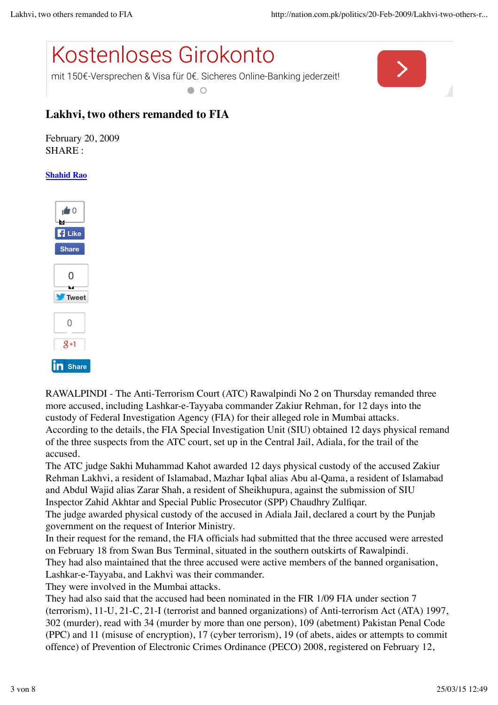

mit 150€-Versprechen & Visa für 0€. Sicheres Online-Banking jederzeit!  $\bullet$   $\circ$ 



## **Lakhvi, two others remanded to FIA**

February 20, 2009 SHARE :

## **Shahid Rao**



RAWALPINDI - The Anti-Terrorism Court (ATC) Rawalpindi No 2 on Thursday remanded three more accused, including Lashkar-e-Tayyaba commander Zakiur Rehman, for 12 days into the custody of Federal Investigation Agency (FIA) for their alleged role in Mumbai attacks. According to the details, the FIA Special Investigation Unit (SIU) obtained 12 days physical remand of the three suspects from the ATC court, set up in the Central Jail, Adiala, for the trail of the accused.

The ATC judge Sakhi Muhammad Kahot awarded 12 days physical custody of the accused Zakiur Rehman Lakhvi, a resident of Islamabad, Mazhar Iqbal alias Abu al-Qama, a resident of Islamabad and Abdul Wajid alias Zarar Shah, a resident of Sheikhupura, against the submission of SIU Inspector Zahid Akhtar and Special Public Prosecutor (SPP) Chaudhry Zulfiqar.

The judge awarded physical custody of the accused in Adiala Jail, declared a court by the Punjab government on the request of Interior Ministry.

In their request for the remand, the FIA officials had submitted that the three accused were arrested on February 18 from Swan Bus Terminal, situated in the southern outskirts of Rawalpindi.

They had also maintained that the three accused were active members of the banned organisation, Lashkar-e-Tayyaba, and Lakhvi was their commander.

They were involved in the Mumbai attacks.

They had also said that the accused had been nominated in the FIR 1/09 FIA under section 7 (terrorism), 11-U, 21-C, 21-I (terrorist and banned organizations) of Anti-terrorism Act (ATA) 1997, 302 (murder), read with 34 (murder by more than one person), 109 (abetment) Pakistan Penal Code (PPC) and 11 (misuse of encryption), 17 (cyber terrorism), 19 (of abets, aides or attempts to commit offence) of Prevention of Electronic Crimes Ordinance (PECO) 2008, registered on February 12,